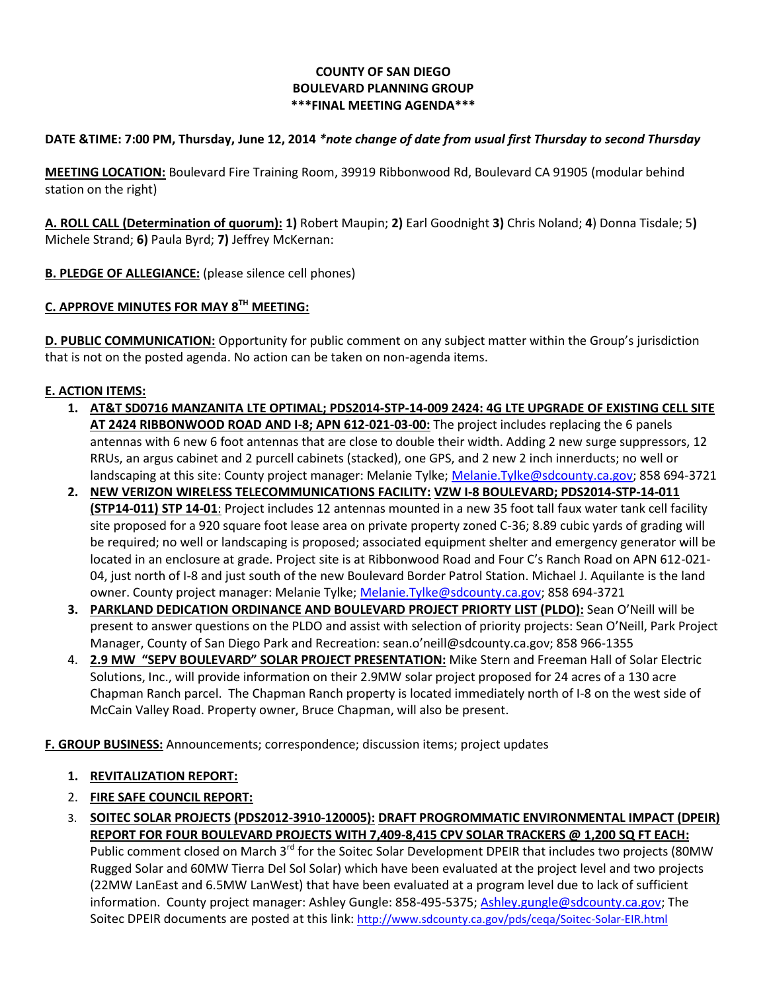## **COUNTY OF SAN DIEGO BOULEVARD PLANNING GROUP \*\*\*FINAL MEETING AGENDA\*\*\***

## **DATE &TIME: 7:00 PM, Thursday, June 12, 2014** *\*note change of date from usual first Thursday to second Thursday*

**MEETING LOCATION:** Boulevard Fire Training Room, 39919 Ribbonwood Rd, Boulevard CA 91905 (modular behind station on the right)

**A. ROLL CALL (Determination of quorum): 1)** Robert Maupin; **2)** Earl Goodnight **3)** Chris Noland; **4**) Donna Tisdale; 5**)**  Michele Strand; **6)** Paula Byrd; **7)** Jeffrey McKernan:

**B. PLEDGE OF ALLEGIANCE:** (please silence cell phones)

## **C. APPROVE MINUTES FOR MAY 8TH MEETING:**

**D. PUBLIC COMMUNICATION:** Opportunity for public comment on any subject matter within the Group's jurisdiction that is not on the posted agenda. No action can be taken on non-agenda items.

## **E. ACTION ITEMS:**

- **1. AT&T SD0716 MANZANITA LTE OPTIMAL; PDS2014-STP-14-009 2424: 4G LTE UPGRADE OF EXISTING CELL SITE AT 2424 RIBBONWOOD ROAD AND I-8; APN 612-021-03-00:** The project includes replacing the 6 panels antennas with 6 new 6 foot antennas that are close to double their width. Adding 2 new surge suppressors, 12 RRUs, an argus cabinet and 2 purcell cabinets (stacked), one GPS, and 2 new 2 inch innerducts; no well or landscaping at this site: County project manager: Melanie Tylke[; Melanie.Tylke@sdcounty.ca.gov;](mailto:Melanie.Tylke@sdcounty.ca.gov) 858 694-3721
- **2. NEW VERIZON WIRELESS TELECOMMUNICATIONS FACILITY: VZW I-8 BOULEVARD; PDS2014-STP-14-011 (STP14-011) STP 14-01**: Project includes 12 antennas mounted in a new 35 foot tall faux water tank cell facility site proposed for a 920 square foot lease area on private property zoned C-36; 8.89 cubic yards of grading will be required; no well or landscaping is proposed; associated equipment shelter and emergency generator will be located in an enclosure at grade. Project site is at Ribbonwood Road and Four C's Ranch Road on APN 612-021- 04, just north of I-8 and just south of the new Boulevard Border Patrol Station. Michael J. Aquilante is the land owner. County project manager: Melanie Tylke; [Melanie.Tylke@sdcounty.ca.gov;](mailto:Melanie.Tylke@sdcounty.ca.gov) 858 694-3721
- **3. PARKLAND DEDICATION ORDINANCE AND BOULEVARD PROJECT PRIORTY LIST (PLDO):** Sean O'Neill will be present to answer questions on the PLDO and assist with selection of priority projects: Sean O'Neill, Park Project Manager, County of San Diego Park and Recreation: sean.o'neill@sdcounty.ca.gov; 858 966-1355
- 4. **2.9 MW "SEPV BOULEVARD" SOLAR PROJECT PRESENTATION:** Mike Stern and Freeman Hall of Solar Electric Solutions, Inc., will provide information on their 2.9MW solar project proposed for 24 acres of a 130 acre Chapman Ranch parcel. The Chapman Ranch property is located immediately north of I-8 on the west side of McCain Valley Road. Property owner, Bruce Chapman, will also be present.

**F. GROUP BUSINESS:** Announcements; correspondence; discussion items; project updates

- **1. REVITALIZATION REPORT:**
- 2. **FIRE SAFE COUNCIL REPORT:**
- 3. **SOITEC SOLAR PROJECTS (PDS2012-3910-120005): DRAFT PROGROMMATIC ENVIRONMENTAL IMPACT (DPEIR) REPORT FOR FOUR BOULEVARD PROJECTS WITH 7,409-8,415 CPV SOLAR TRACKERS @ 1,200 SQ FT EACH:**

Public comment closed on March 3<sup>rd</sup> for the Soitec Solar Development DPEIR that includes two projects (80MW Rugged Solar and 60MW Tierra Del Sol Solar) which have been evaluated at the project level and two projects (22MW LanEast and 6.5MW LanWest) that have been evaluated at a program level due to lack of sufficient information. County project manager: Ashley Gungle: 858-495-5375[; Ashley.gungle@sdcounty.ca.gov;](mailto:Ashley.gungle@sdcounty.ca.gov) The Soitec DPEIR documents are posted at this link: <http://www.sdcounty.ca.gov/pds/ceqa/Soitec-Solar-EIR.html>